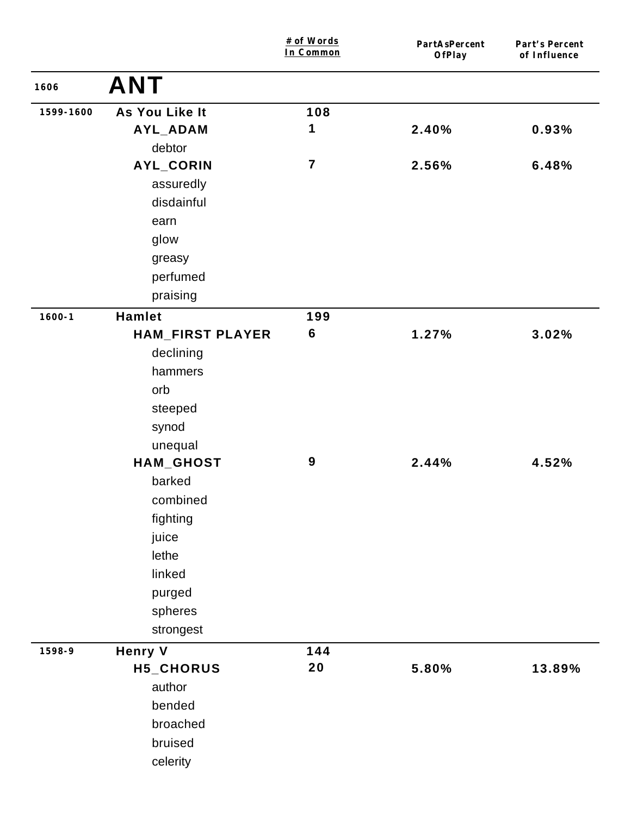|            |                         | # of Words<br>In Common | PartAsPercent<br>OfPlay | Part's Percent<br>of Influence |
|------------|-------------------------|-------------------------|-------------------------|--------------------------------|
| 1606       | <b>ANT</b>              |                         |                         |                                |
| 1599-1600  | As You Like It          | 108                     |                         |                                |
|            | AYL_ADAM                | 1                       | 2.40%                   | 0.93%                          |
|            | debtor                  |                         |                         |                                |
|            | AYL_CORIN               | $\overline{7}$          | 2.56%                   | 6.48%                          |
|            | assuredly               |                         |                         |                                |
|            | disdainful              |                         |                         |                                |
|            | earn                    |                         |                         |                                |
|            | glow                    |                         |                         |                                |
|            | greasy                  |                         |                         |                                |
|            | perfumed                |                         |                         |                                |
|            | praising                |                         |                         |                                |
| $1600 - 1$ | <b>Hamlet</b>           | 199                     |                         |                                |
|            | <b>HAM_FIRST PLAYER</b> | $6\phantom{1}6$         | 1.27%                   | 3.02%                          |
|            | declining               |                         |                         |                                |
|            | hammers                 |                         |                         |                                |
|            | orb                     |                         |                         |                                |
|            | steeped                 |                         |                         |                                |
|            | synod                   |                         |                         |                                |
|            | unequal                 |                         |                         |                                |
|            | HAM_GHOST               | $\boldsymbol{9}$        | 2.44%                   | 4.52%                          |
|            | barked                  |                         |                         |                                |
|            | combined                |                         |                         |                                |
|            | fighting                |                         |                         |                                |
|            | juice                   |                         |                         |                                |
|            | lethe                   |                         |                         |                                |
|            | linked                  |                         |                         |                                |
|            | purged                  |                         |                         |                                |
|            | spheres                 |                         |                         |                                |
|            | strongest               |                         |                         |                                |
| 1598-9     | <b>Henry V</b>          | 144                     |                         |                                |
|            | H5_CHORUS               | 20                      | 5.80%                   | 13.89%                         |
|            | author                  |                         |                         |                                |
|            | bended                  |                         |                         |                                |
|            | broached                |                         |                         |                                |
|            | bruised                 |                         |                         |                                |
|            | celerity                |                         |                         |                                |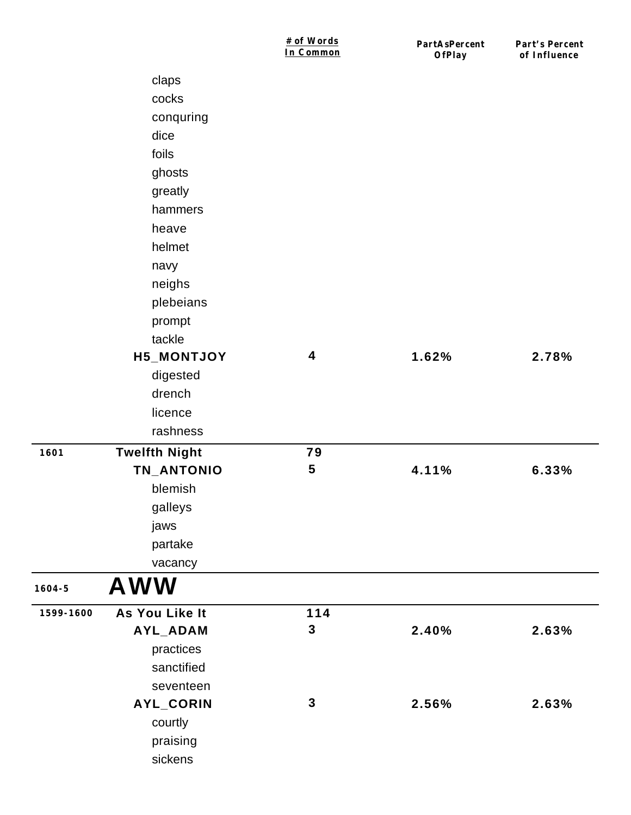|            |                      | # of Words<br>In Common | PartAsPercent<br>OfPlay | Part's Percent<br>of Influence |
|------------|----------------------|-------------------------|-------------------------|--------------------------------|
|            | claps                |                         |                         |                                |
|            | cocks                |                         |                         |                                |
|            | conquring            |                         |                         |                                |
|            | dice                 |                         |                         |                                |
|            | foils                |                         |                         |                                |
|            | ghosts               |                         |                         |                                |
|            | greatly              |                         |                         |                                |
|            | hammers              |                         |                         |                                |
|            | heave                |                         |                         |                                |
|            | helmet               |                         |                         |                                |
|            | navy                 |                         |                         |                                |
|            | neighs               |                         |                         |                                |
|            | plebeians            |                         |                         |                                |
|            | prompt               |                         |                         |                                |
|            | tackle               |                         |                         |                                |
|            | H5_MONTJOY           | $\boldsymbol{4}$        | 1.62%                   | 2.78%                          |
|            | digested             |                         |                         |                                |
|            | drench               |                         |                         |                                |
|            | licence              |                         |                         |                                |
|            | rashness             |                         |                         |                                |
| 1601       | <b>Twelfth Night</b> | 79                      |                         |                                |
|            | TN_ANTONIO           | $\overline{\mathbf{5}}$ | 4.11%                   | 6.33%                          |
|            | blemish              |                         |                         |                                |
|            | galleys              |                         |                         |                                |
|            | jaws                 |                         |                         |                                |
|            | partake              |                         |                         |                                |
|            | vacancy              |                         |                         |                                |
| $1604 - 5$ | <b>AWW</b>           |                         |                         |                                |
| 1599-1600  | As You Like It       | 114                     |                         |                                |
|            | AYL_ADAM             | $\mathbf{3}$            | 2.40%                   | 2.63%                          |
|            | practices            |                         |                         |                                |
|            | sanctified           |                         |                         |                                |
|            | seventeen            |                         |                         |                                |
|            | AYL_CORIN            | $\mathbf{3}$            | 2.56%                   | 2.63%                          |
|            | courtly              |                         |                         |                                |
|            | praising             |                         |                         |                                |
|            | sickens              |                         |                         |                                |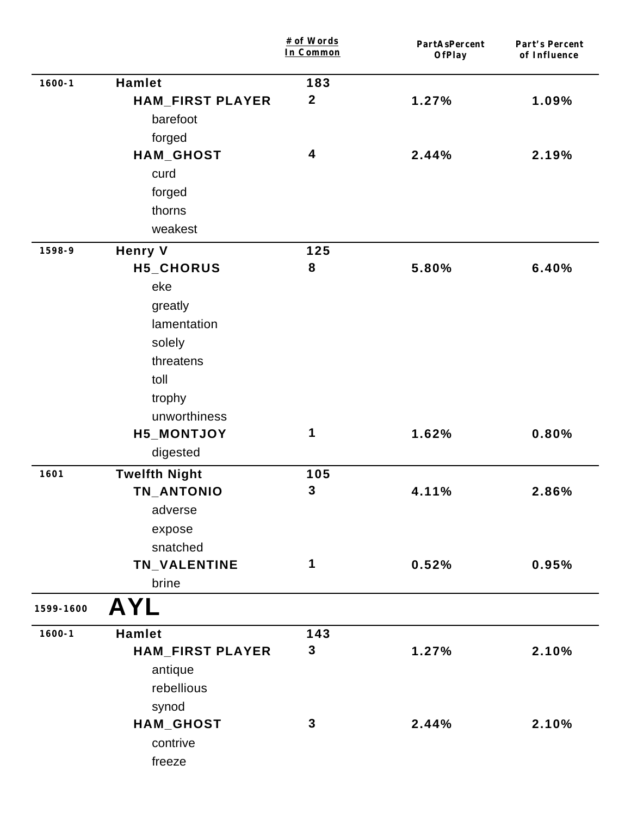|            |                         | # of Words<br>In Common | PartAsPercent<br>OfPlay | Part's Percent<br>of Influence |
|------------|-------------------------|-------------------------|-------------------------|--------------------------------|
| $1600 - 1$ | <b>Hamlet</b>           | 183                     |                         |                                |
|            | <b>HAM_FIRST PLAYER</b> | $\boldsymbol{2}$        | 1.27%                   | 1.09%                          |
|            | barefoot                |                         |                         |                                |
|            | forged                  |                         |                         |                                |
|            | HAM_GHOST               | 4                       | 2.44%                   | 2.19%                          |
|            | curd                    |                         |                         |                                |
|            | forged                  |                         |                         |                                |
|            | thorns                  |                         |                         |                                |
|            | weakest                 |                         |                         |                                |
| 1598-9     | <b>Henry V</b>          | 125                     |                         |                                |
|            | H5_CHORUS               | 8                       | 5.80%                   | 6.40%                          |
|            | eke                     |                         |                         |                                |
|            | greatly                 |                         |                         |                                |
|            | lamentation             |                         |                         |                                |
|            | solely                  |                         |                         |                                |
|            | threatens               |                         |                         |                                |
|            | toll                    |                         |                         |                                |
|            | trophy                  |                         |                         |                                |
|            | unworthiness            |                         |                         |                                |
|            | H5_MONTJOY              | 1                       | 1.62%                   | 0.80%                          |
|            | digested                |                         |                         |                                |
| 1601       | <b>Twelfth Night</b>    | 105                     |                         |                                |
|            | TN_ANTONIO              | $\mathbf{3}$            | 4.11%                   | 2.86%                          |
|            | adverse                 |                         |                         |                                |
|            | expose                  |                         |                         |                                |
|            | snatched                |                         |                         |                                |
|            | TN_VALENTINE            | 1                       | 0.52%                   | 0.95%                          |
|            | brine                   |                         |                         |                                |
| 1599-1600  | <b>AYL</b>              |                         |                         |                                |
| $1600 - 1$ | <b>Hamlet</b>           | 143                     |                         |                                |
|            | <b>HAM_FIRST PLAYER</b> | $\mathbf 3$             | 1.27%                   | 2.10%                          |
|            | antique                 |                         |                         |                                |
|            | rebellious              |                         |                         |                                |
|            | synod                   |                         |                         |                                |
|            | HAM_GHOST               | $\mathbf{3}$            | 2.44%                   | 2.10%                          |
|            | contrive                |                         |                         |                                |
|            | freeze                  |                         |                         |                                |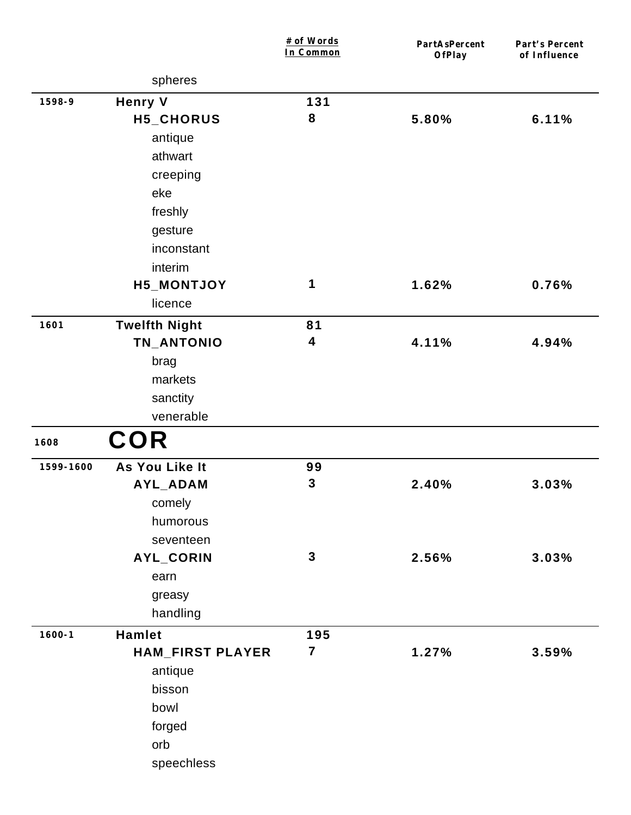|            |                         | # of Words<br>In Common | PartAsPercent<br>OfPlay | Part's Percent<br>of Influence |
|------------|-------------------------|-------------------------|-------------------------|--------------------------------|
|            | spheres                 |                         |                         |                                |
| 1598-9     | <b>Henry V</b>          | 131                     |                         |                                |
|            | H5_CHORUS               | 8                       | 5.80%                   | 6.11%                          |
|            | antique                 |                         |                         |                                |
|            | athwart                 |                         |                         |                                |
|            | creeping                |                         |                         |                                |
|            | eke                     |                         |                         |                                |
|            | freshly                 |                         |                         |                                |
|            | gesture                 |                         |                         |                                |
|            | inconstant              |                         |                         |                                |
|            | interim                 |                         |                         |                                |
|            | H5_MONTJOY              | 1                       | 1.62%                   | 0.76%                          |
|            | licence                 |                         |                         |                                |
| 1601       | <b>Twelfth Night</b>    | 81                      |                         |                                |
|            | TN_ANTONIO              | 4                       | 4.11%                   | 4.94%                          |
|            | brag                    |                         |                         |                                |
|            | markets                 |                         |                         |                                |
|            | sanctity                |                         |                         |                                |
|            | venerable               |                         |                         |                                |
| 1608       | <b>COR</b>              |                         |                         |                                |
| 1599-1600  | As You Like It          | 99                      |                         |                                |
|            | AYL_ADAM                | $\mathbf{3}$            | 2.40%                   | 3.03%                          |
|            | comely                  |                         |                         |                                |
|            | humorous                |                         |                         |                                |
|            | seventeen               |                         |                         |                                |
|            | AYL_CORIN               | $\mathbf{3}$            | 2.56%                   | 3.03%                          |
|            | earn                    |                         |                         |                                |
|            | greasy                  |                         |                         |                                |
|            | handling                |                         |                         |                                |
| $1600 - 1$ | Hamlet                  | 195                     |                         |                                |
|            | <b>HAM_FIRST PLAYER</b> | $\overline{7}$          | 1.27%                   | 3.59%                          |
|            | antique                 |                         |                         |                                |
|            | bisson                  |                         |                         |                                |
|            | bowl                    |                         |                         |                                |
|            | forged                  |                         |                         |                                |
|            | orb                     |                         |                         |                                |
|            | speechless              |                         |                         |                                |
|            |                         |                         |                         |                                |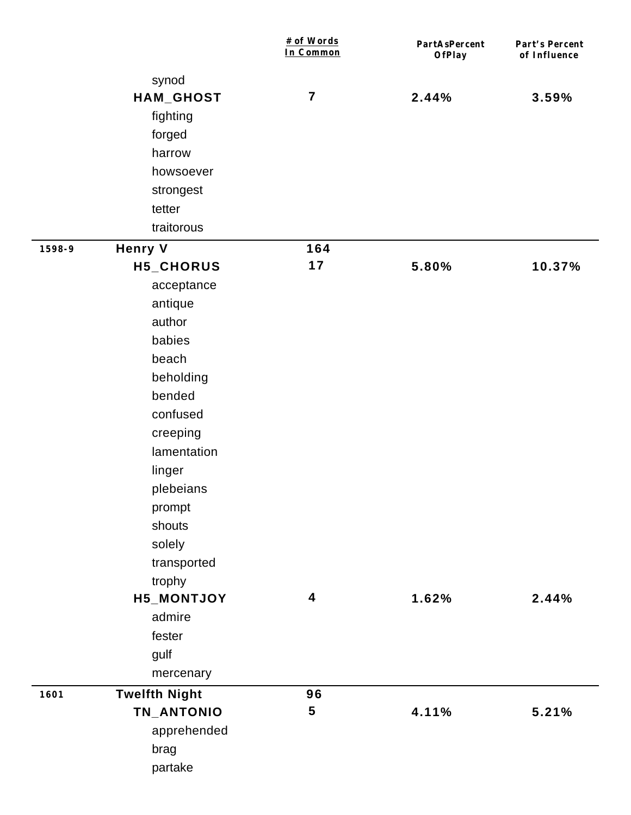|        |                      | # of Words<br>In Common | PartAsPercent<br>OfPlay | Part's Percent<br>of Influence |
|--------|----------------------|-------------------------|-------------------------|--------------------------------|
|        | synod                |                         |                         |                                |
|        | HAM_GHOST            | $\overline{7}$          | 2.44%                   | 3.59%                          |
|        | fighting             |                         |                         |                                |
|        | forged               |                         |                         |                                |
|        | harrow               |                         |                         |                                |
|        | howsoever            |                         |                         |                                |
|        | strongest            |                         |                         |                                |
|        | tetter               |                         |                         |                                |
|        | traitorous           |                         |                         |                                |
| 1598-9 | <b>Henry V</b>       | 164                     |                         |                                |
|        | H5_CHORUS            | 17                      | 5.80%                   | 10.37%                         |
|        | acceptance           |                         |                         |                                |
|        | antique              |                         |                         |                                |
|        | author               |                         |                         |                                |
|        | babies               |                         |                         |                                |
|        | beach                |                         |                         |                                |
|        | beholding            |                         |                         |                                |
|        | bended               |                         |                         |                                |
|        | confused             |                         |                         |                                |
|        | creeping             |                         |                         |                                |
|        | lamentation          |                         |                         |                                |
|        | linger               |                         |                         |                                |
|        | plebeians            |                         |                         |                                |
|        | prompt               |                         |                         |                                |
|        | shouts               |                         |                         |                                |
|        | solely               |                         |                         |                                |
|        | transported          |                         |                         |                                |
|        | trophy               |                         |                         |                                |
|        | H5_MONTJOY           | 4                       | 1.62%                   | 2.44%                          |
|        | admire               |                         |                         |                                |
|        | fester               |                         |                         |                                |
|        | gulf                 |                         |                         |                                |
|        | mercenary            |                         |                         |                                |
| 1601   | <b>Twelfth Night</b> | 96<br>5                 |                         |                                |
|        | TN_ANTONIO           |                         | 4.11%                   | 5.21%                          |
|        | apprehended          |                         |                         |                                |
|        | brag                 |                         |                         |                                |
|        | partake              |                         |                         |                                |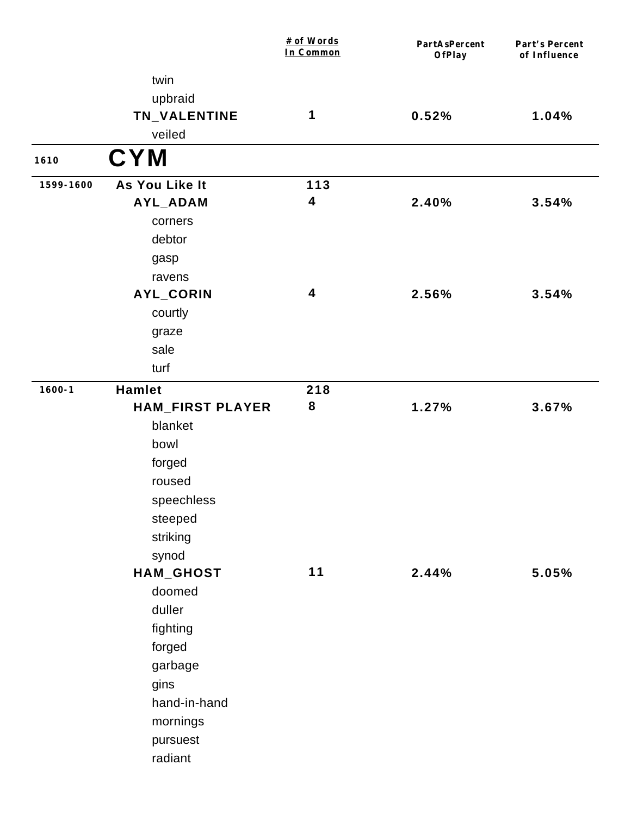|            |                         | # of Words<br>In Common | PartAsPercent<br><b>OfPlay</b> | Part's Percent<br>of Influence |
|------------|-------------------------|-------------------------|--------------------------------|--------------------------------|
|            | twin                    |                         |                                |                                |
|            | upbraid                 |                         |                                |                                |
|            | TN_VALENTINE            | 1                       | 0.52%                          | 1.04%                          |
|            | veiled                  |                         |                                |                                |
| 1610       | <b>CYM</b>              |                         |                                |                                |
| 1599-1600  | As You Like It          | 113                     |                                |                                |
|            | AYL_ADAM                | 4                       | 2.40%                          | 3.54%                          |
|            | corners                 |                         |                                |                                |
|            | debtor                  |                         |                                |                                |
|            | gasp                    |                         |                                |                                |
|            | ravens                  |                         |                                |                                |
|            | AYL_CORIN               | 4                       | 2.56%                          | 3.54%                          |
|            | courtly                 |                         |                                |                                |
|            | graze                   |                         |                                |                                |
|            | sale                    |                         |                                |                                |
|            | turf                    |                         |                                |                                |
| $1600 - 1$ | Hamlet                  | 218                     |                                |                                |
|            | <b>HAM_FIRST PLAYER</b> | 8                       | 1.27%                          | 3.67%                          |
|            | blanket                 |                         |                                |                                |
|            | bowl                    |                         |                                |                                |
|            | forged                  |                         |                                |                                |
|            | roused                  |                         |                                |                                |
|            | speechless              |                         |                                |                                |
|            | steeped                 |                         |                                |                                |
|            | striking                |                         |                                |                                |
|            | synod                   |                         |                                |                                |
|            | HAM_GHOST               | $11$                    | 2.44%                          | 5.05%                          |
|            | doomed                  |                         |                                |                                |
|            | duller                  |                         |                                |                                |
|            | fighting                |                         |                                |                                |
|            | forged                  |                         |                                |                                |
|            | garbage                 |                         |                                |                                |
|            | gins                    |                         |                                |                                |
|            | hand-in-hand            |                         |                                |                                |
|            | mornings                |                         |                                |                                |
|            | pursuest                |                         |                                |                                |
|            | radiant                 |                         |                                |                                |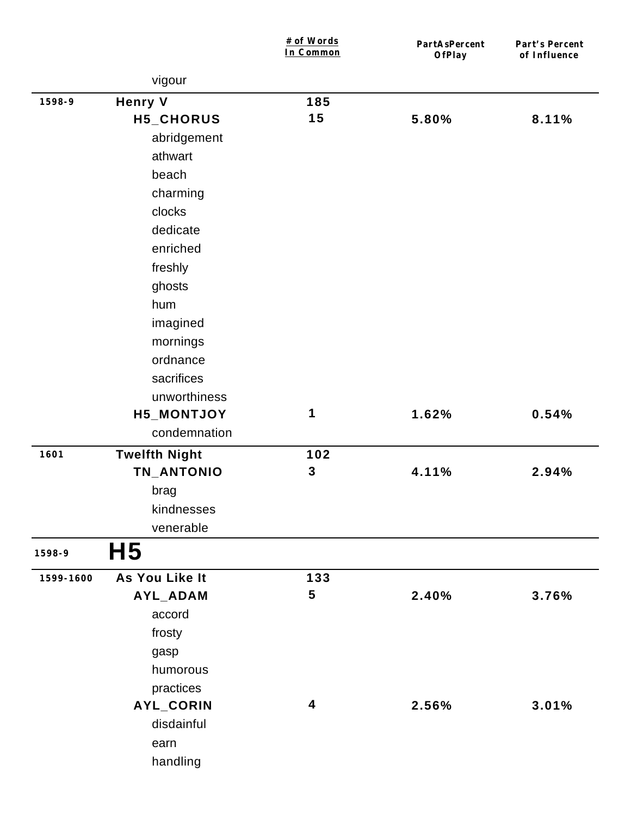|           |                      | # of Words<br>In Common | PartAsPercent<br><b>OfPlay</b> | Part's Percent<br>of Influence |
|-----------|----------------------|-------------------------|--------------------------------|--------------------------------|
|           | vigour               |                         |                                |                                |
| 1598-9    | <b>Henry V</b>       | 185                     |                                |                                |
|           | H5_CHORUS            | 15                      | 5.80%                          | 8.11%                          |
|           | abridgement          |                         |                                |                                |
|           | athwart              |                         |                                |                                |
|           | beach                |                         |                                |                                |
|           | charming             |                         |                                |                                |
|           | clocks               |                         |                                |                                |
|           | dedicate             |                         |                                |                                |
|           | enriched             |                         |                                |                                |
|           | freshly              |                         |                                |                                |
|           | ghosts               |                         |                                |                                |
|           | hum                  |                         |                                |                                |
|           | imagined             |                         |                                |                                |
|           | mornings             |                         |                                |                                |
|           | ordnance             |                         |                                |                                |
|           | sacrifices           |                         |                                |                                |
|           | unworthiness         |                         |                                |                                |
|           | <b>H5_MONTJOY</b>    | 1                       | 1.62%                          | 0.54%                          |
|           | condemnation         |                         |                                |                                |
| 1601      | <b>Twelfth Night</b> | 102                     |                                |                                |
|           | TN_ANTONIO           | $\mathbf{3}$            | 4.11%                          | 2.94%                          |
|           | brag                 |                         |                                |                                |
|           | kindnesses           |                         |                                |                                |
|           | venerable            |                         |                                |                                |
| 1598-9    | H <sub>5</sub>       |                         |                                |                                |
| 1599-1600 | As You Like It       | 133                     |                                |                                |
|           | AYL_ADAM             | 5                       | 2.40%                          | 3.76%                          |
|           | accord               |                         |                                |                                |
|           | frosty               |                         |                                |                                |
|           | gasp                 |                         |                                |                                |
|           | humorous             |                         |                                |                                |
|           | practices            |                         |                                |                                |
|           | AYL_CORIN            | 4                       | 2.56%                          | 3.01%                          |
|           | disdainful           |                         |                                |                                |
|           | earn                 |                         |                                |                                |
|           | handling             |                         |                                |                                |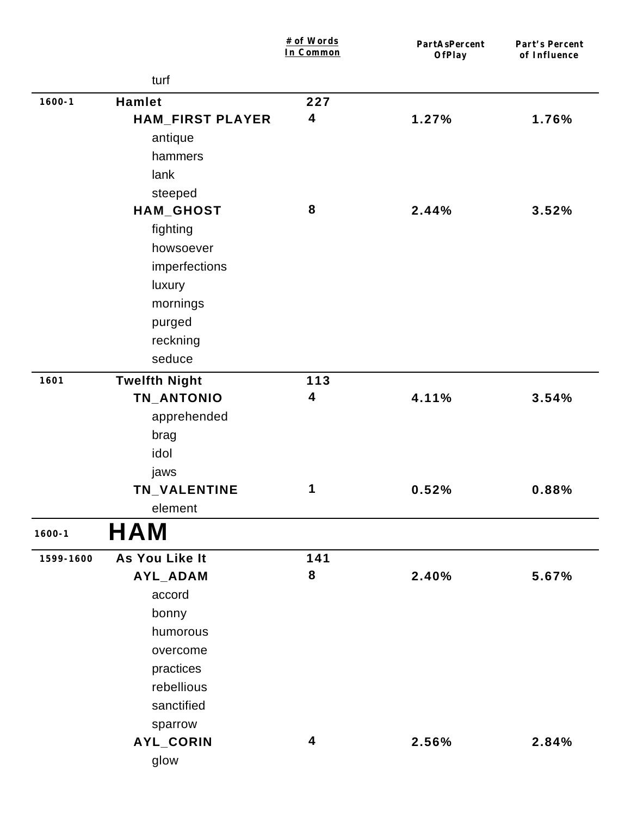|            |                         | # of Words<br>In Common | PartAsPercent<br>OfPlay | Part's Percent<br>of Influence |
|------------|-------------------------|-------------------------|-------------------------|--------------------------------|
|            | turf                    |                         |                         |                                |
| $1600 - 1$ | <b>Hamlet</b>           | 227                     |                         |                                |
|            | <b>HAM_FIRST PLAYER</b> | 4                       | 1.27%                   | 1.76%                          |
|            | antique                 |                         |                         |                                |
|            | hammers                 |                         |                         |                                |
|            | lank                    |                         |                         |                                |
|            | steeped                 |                         |                         |                                |
|            | HAM_GHOST               | 8                       | 2.44%                   | 3.52%                          |
|            | fighting                |                         |                         |                                |
|            | howsoever               |                         |                         |                                |
|            | imperfections           |                         |                         |                                |
|            | luxury                  |                         |                         |                                |
|            | mornings                |                         |                         |                                |
|            | purged                  |                         |                         |                                |
|            | reckning                |                         |                         |                                |
|            | seduce                  |                         |                         |                                |
| 1601       | <b>Twelfth Night</b>    | 113                     |                         |                                |
|            | TN_ANTONIO              | 4                       | 4.11%                   | 3.54%                          |
|            | apprehended             |                         |                         |                                |
|            | brag                    |                         |                         |                                |
|            | idol                    |                         |                         |                                |
|            | jaws                    |                         |                         |                                |
|            | TN_VALENTINE            | 1                       | 0.52%                   | 0.88%                          |
|            | element                 |                         |                         |                                |
| $1600 - 1$ | <b>HAM</b>              |                         |                         |                                |
| 1599-1600  | As You Like It          | 141                     |                         |                                |
|            | AYL_ADAM                | 8                       | 2.40%                   | 5.67%                          |
|            | accord                  |                         |                         |                                |
|            | bonny                   |                         |                         |                                |
|            | humorous                |                         |                         |                                |
|            | overcome                |                         |                         |                                |
|            | practices               |                         |                         |                                |
|            | rebellious              |                         |                         |                                |
|            | sanctified              |                         |                         |                                |
|            | sparrow                 |                         |                         |                                |
|            | AYL_CORIN               | 4                       | 2.56%                   | 2.84%                          |
|            | glow                    |                         |                         |                                |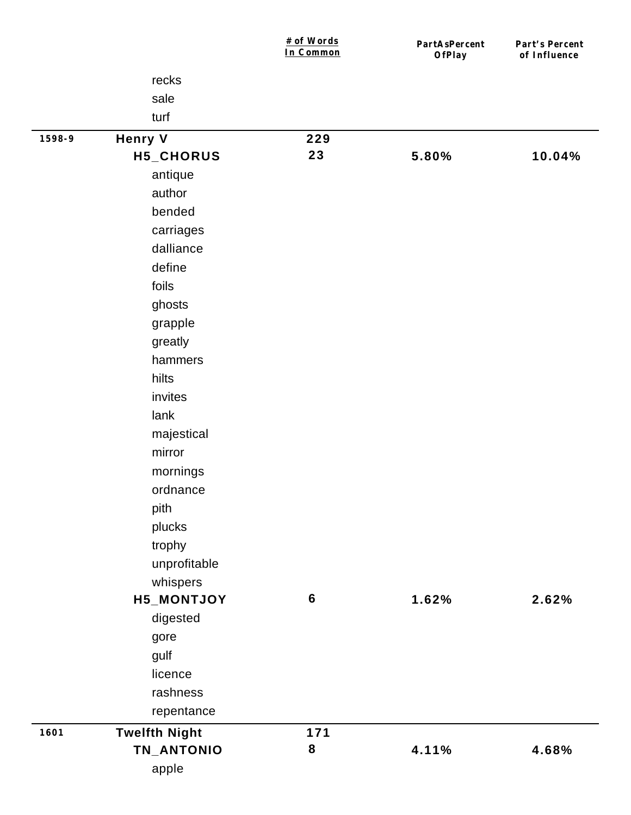|        |                      | # of Words<br>In Common | PartAsPercent<br>OfPlay | Part's Percent<br>of Influence |
|--------|----------------------|-------------------------|-------------------------|--------------------------------|
|        | recks                |                         |                         |                                |
|        | sale                 |                         |                         |                                |
|        | turf                 |                         |                         |                                |
| 1598-9 | <b>Henry V</b>       | 229                     |                         |                                |
|        | H5_CHORUS            | 23                      | 5.80%                   | 10.04%                         |
|        | antique              |                         |                         |                                |
|        | author               |                         |                         |                                |
|        | bended               |                         |                         |                                |
|        | carriages            |                         |                         |                                |
|        | dalliance            |                         |                         |                                |
|        | define               |                         |                         |                                |
|        | foils                |                         |                         |                                |
|        | ghosts               |                         |                         |                                |
|        | grapple              |                         |                         |                                |
|        | greatly              |                         |                         |                                |
|        | hammers              |                         |                         |                                |
|        | hilts                |                         |                         |                                |
|        | invites              |                         |                         |                                |
|        | lank                 |                         |                         |                                |
|        | majestical           |                         |                         |                                |
|        | mirror               |                         |                         |                                |
|        | mornings             |                         |                         |                                |
|        | ordnance             |                         |                         |                                |
|        | pith                 |                         |                         |                                |
|        | plucks               |                         |                         |                                |
|        | trophy               |                         |                         |                                |
|        | unprofitable         |                         |                         |                                |
|        | whispers             |                         |                         |                                |
|        | H5_MONTJOY           | 6                       | 1.62%                   | 2.62%                          |
|        | digested             |                         |                         |                                |
|        | gore                 |                         |                         |                                |
|        | gulf                 |                         |                         |                                |
|        | licence              |                         |                         |                                |
|        | rashness             |                         |                         |                                |
|        | repentance           |                         |                         |                                |
| 1601   | <b>Twelfth Night</b> | 171                     |                         |                                |
|        | TN_ANTONIO           | 8                       | 4.11%                   | 4.68%                          |
|        | apple                |                         |                         |                                |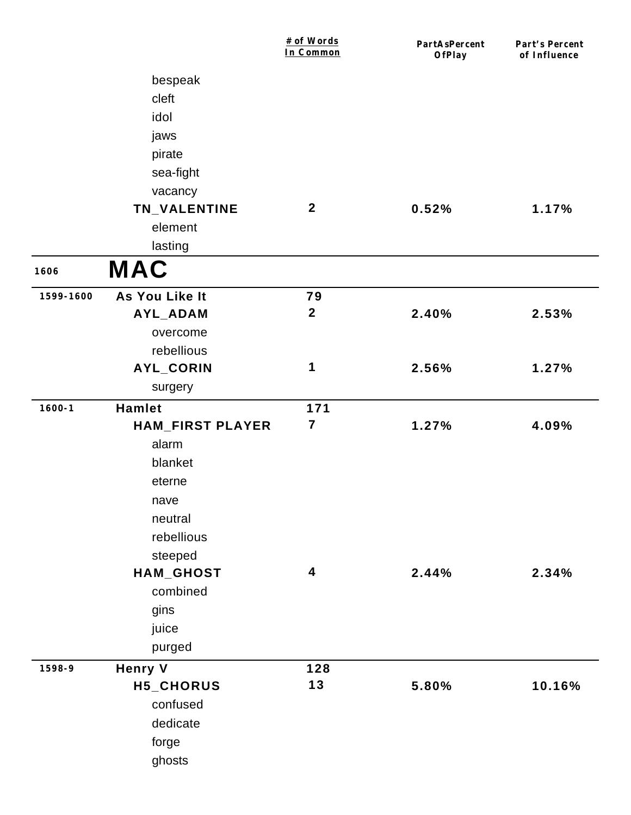|            |                         | # of Words<br>In Common | PartAsPercent<br>OfPlay | Part's Percent<br>of Influence |
|------------|-------------------------|-------------------------|-------------------------|--------------------------------|
|            | bespeak                 |                         |                         |                                |
|            | cleft                   |                         |                         |                                |
|            | idol                    |                         |                         |                                |
|            | jaws                    |                         |                         |                                |
|            | pirate                  |                         |                         |                                |
|            | sea-fight               |                         |                         |                                |
|            | vacancy                 |                         |                         |                                |
|            | TN_VALENTINE            | $\boldsymbol{2}$        | 0.52%                   | 1.17%                          |
|            | element                 |                         |                         |                                |
|            | lasting                 |                         |                         |                                |
| 1606       | <b>MAC</b>              |                         |                         |                                |
| 1599-1600  | As You Like It          | 79                      |                         |                                |
|            | AYL_ADAM                | $\mathbf{2}$            | 2.40%                   | 2.53%                          |
|            | overcome                |                         |                         |                                |
|            | rebellious              |                         |                         |                                |
|            | AYL_CORIN               | 1                       | 2.56%                   | 1.27%                          |
|            | surgery                 |                         |                         |                                |
| $1600 - 1$ | <b>Hamlet</b>           | 171                     |                         |                                |
|            | <b>HAM_FIRST PLAYER</b> | $\overline{\mathbf{7}}$ | 1.27%                   | 4.09%                          |
|            | alarm                   |                         |                         |                                |
|            | blanket                 |                         |                         |                                |
|            | eterne                  |                         |                         |                                |
|            | nave                    |                         |                         |                                |
|            | neutral                 |                         |                         |                                |
|            | rebellious              |                         |                         |                                |
|            | steeped                 |                         |                         |                                |
|            | HAM_GHOST               | $\boldsymbol{4}$        | 2.44%                   | 2.34%                          |
|            | combined                |                         |                         |                                |
|            | gins                    |                         |                         |                                |
|            | juice                   |                         |                         |                                |
|            | purged                  |                         |                         |                                |
| 1598-9     | <b>Henry V</b>          | 128                     |                         |                                |
|            | H5_CHORUS               | 13                      | 5.80%                   | 10.16%                         |
|            | confused                |                         |                         |                                |
|            | dedicate                |                         |                         |                                |
|            | forge                   |                         |                         |                                |
|            | ghosts                  |                         |                         |                                |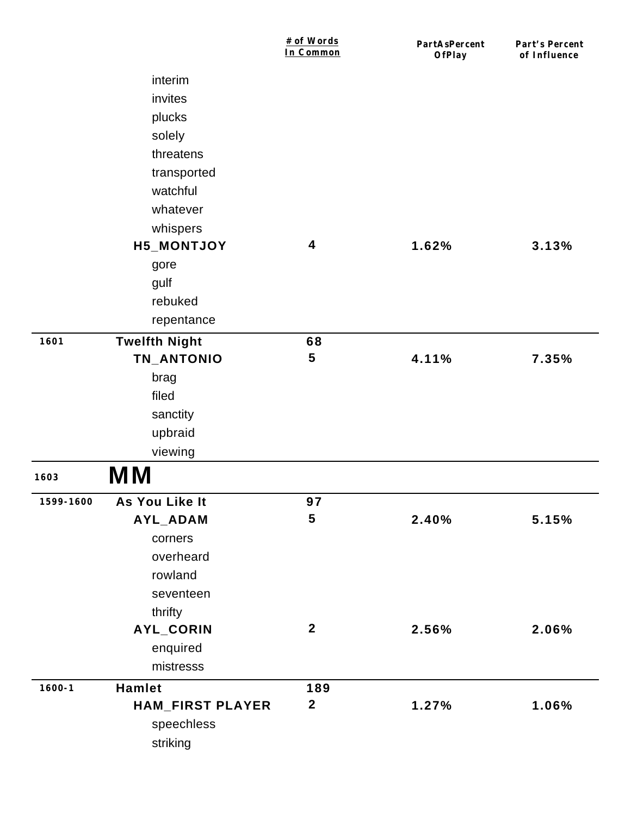|            |                         | # of Words<br>In Common | PartAsPercent<br>OfPlay | Part's Percent<br>of Influence |
|------------|-------------------------|-------------------------|-------------------------|--------------------------------|
|            | interim                 |                         |                         |                                |
|            | invites                 |                         |                         |                                |
|            | plucks                  |                         |                         |                                |
|            | solely                  |                         |                         |                                |
|            | threatens               |                         |                         |                                |
|            | transported             |                         |                         |                                |
|            | watchful                |                         |                         |                                |
|            | whatever                |                         |                         |                                |
|            | whispers                |                         |                         |                                |
|            | H5_MONTJOY              | 4                       | 1.62%                   | 3.13%                          |
|            | gore                    |                         |                         |                                |
|            | gulf                    |                         |                         |                                |
|            | rebuked                 |                         |                         |                                |
|            | repentance              |                         |                         |                                |
| 1601       | <b>Twelfth Night</b>    | 68                      |                         |                                |
|            | TN_ANTONIO              | 5                       | 4.11%                   | 7.35%                          |
|            | brag                    |                         |                         |                                |
|            | filed                   |                         |                         |                                |
|            | sanctity                |                         |                         |                                |
|            | upbraid                 |                         |                         |                                |
|            | viewing                 |                         |                         |                                |
| 1603       | <b>MM</b>               |                         |                         |                                |
| 1599-1600  | As You Like It          | 97                      |                         |                                |
|            | AYL_ADAM                | $\overline{\mathbf{5}}$ | 2.40%                   | 5.15%                          |
|            | corners                 |                         |                         |                                |
|            | overheard               |                         |                         |                                |
|            | rowland                 |                         |                         |                                |
|            | seventeen               |                         |                         |                                |
|            | thrifty                 |                         |                         |                                |
|            | AYL_CORIN               | $\boldsymbol{2}$        | 2.56%                   | 2.06%                          |
|            | enquired                |                         |                         |                                |
|            | mistresss               |                         |                         |                                |
| $1600 - 1$ | Hamlet                  | 189                     |                         |                                |
|            | <b>HAM_FIRST PLAYER</b> | $\boldsymbol{2}$        | 1.27%                   | 1.06%                          |
|            | speechless              |                         |                         |                                |
|            | striking                |                         |                         |                                |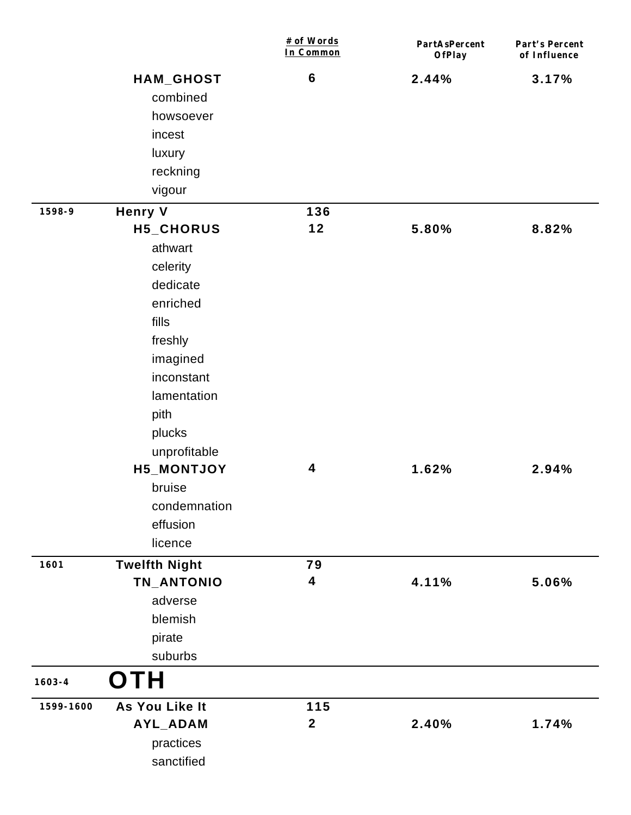|            |                                    | # of Words<br>In Common | PartAsPercent<br>OfPlay | Part's Percent<br>of Influence |
|------------|------------------------------------|-------------------------|-------------------------|--------------------------------|
|            | HAM_GHOST                          | $\bf 6$                 | 2.44%                   | 3.17%                          |
|            | combined                           |                         |                         |                                |
|            | howsoever                          |                         |                         |                                |
|            | incest                             |                         |                         |                                |
|            | luxury                             |                         |                         |                                |
|            | reckning                           |                         |                         |                                |
|            | vigour                             |                         |                         |                                |
| 1598-9     | <b>Henry V</b>                     | 136                     |                         |                                |
|            | H5_CHORUS                          | $12$                    | 5.80%                   | 8.82%                          |
|            | athwart                            |                         |                         |                                |
|            | celerity                           |                         |                         |                                |
|            | dedicate                           |                         |                         |                                |
|            | enriched                           |                         |                         |                                |
|            | fills                              |                         |                         |                                |
|            | freshly                            |                         |                         |                                |
|            | imagined                           |                         |                         |                                |
|            | inconstant                         |                         |                         |                                |
|            | lamentation                        |                         |                         |                                |
|            | pith                               |                         |                         |                                |
|            | plucks                             |                         |                         |                                |
|            | unprofitable                       | 4                       | 1.62%                   | 2.94%                          |
|            | H5_MONTJOY<br>bruise               |                         |                         |                                |
|            | condemnation                       |                         |                         |                                |
|            | effusion                           |                         |                         |                                |
|            | licence                            |                         |                         |                                |
| 1601       |                                    |                         |                         |                                |
|            | <b>Twelfth Night</b><br>TN_ANTONIO | 79<br>4                 | 4.11%                   | 5.06%                          |
|            | adverse                            |                         |                         |                                |
|            | blemish                            |                         |                         |                                |
|            | pirate                             |                         |                         |                                |
|            | suburbs                            |                         |                         |                                |
| $1603 - 4$ | OTH                                |                         |                         |                                |
| 1599-1600  | As You Like It                     | 115                     |                         |                                |
|            | AYL_ADAM                           | $\boldsymbol{2}$        | 2.40%                   | 1.74%                          |
|            | practices                          |                         |                         |                                |
|            | sanctified                         |                         |                         |                                |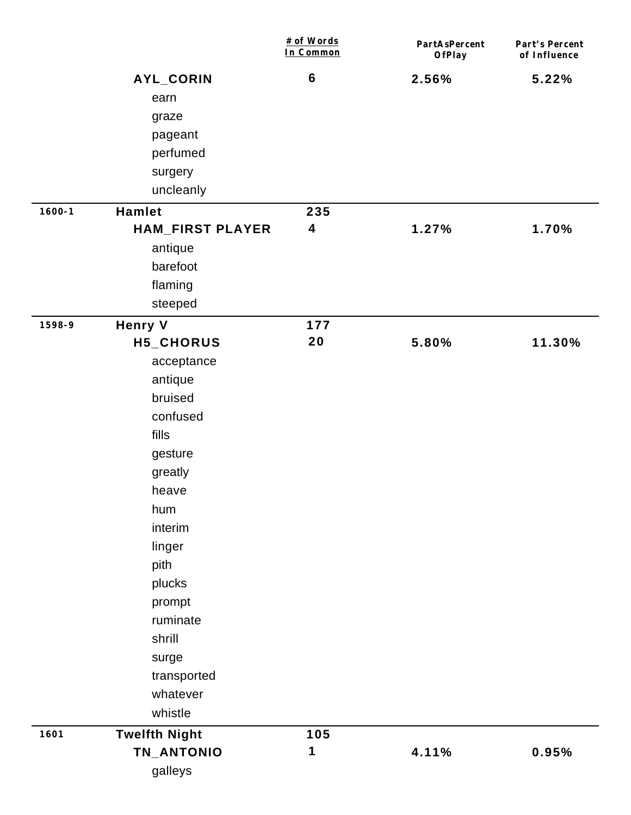|            |                         | # of Words<br>In Common | PartAsPercent<br>OfPlay | Part's Percent<br>of Influence |
|------------|-------------------------|-------------------------|-------------------------|--------------------------------|
|            | AYL_CORIN               | $6\phantom{1}6$         | 2.56%                   | 5.22%                          |
|            | earn                    |                         |                         |                                |
|            | graze                   |                         |                         |                                |
|            | pageant                 |                         |                         |                                |
|            | perfumed                |                         |                         |                                |
|            | surgery                 |                         |                         |                                |
|            | uncleanly               |                         |                         |                                |
| $1600 - 1$ | Hamlet                  | 235                     |                         |                                |
|            | <b>HAM_FIRST PLAYER</b> | 4                       | 1.27%                   | 1.70%                          |
|            | antique                 |                         |                         |                                |
|            | barefoot                |                         |                         |                                |
|            | flaming                 |                         |                         |                                |
|            | steeped                 |                         |                         |                                |
| 1598-9     | <b>Henry V</b>          | 177                     |                         |                                |
|            | H5_CHORUS               | 20                      | 5.80%                   | 11.30%                         |
|            | acceptance              |                         |                         |                                |
|            | antique                 |                         |                         |                                |
|            | bruised                 |                         |                         |                                |
|            | confused                |                         |                         |                                |
|            | fills                   |                         |                         |                                |
|            | gesture                 |                         |                         |                                |
|            | greatly                 |                         |                         |                                |
|            | heave                   |                         |                         |                                |
|            | hum                     |                         |                         |                                |
|            | interim                 |                         |                         |                                |
|            | linger                  |                         |                         |                                |
|            | pith                    |                         |                         |                                |
|            | plucks                  |                         |                         |                                |
|            | prompt                  |                         |                         |                                |
|            | ruminate                |                         |                         |                                |
|            | shrill                  |                         |                         |                                |
|            | surge                   |                         |                         |                                |
|            | transported             |                         |                         |                                |
|            | whatever                |                         |                         |                                |
|            | whistle                 |                         |                         |                                |
| 1601       | <b>Twelfth Night</b>    | 105                     |                         |                                |
|            | TN_ANTONIO              | 1                       | 4.11%                   | 0.95%                          |
|            | galleys                 |                         |                         |                                |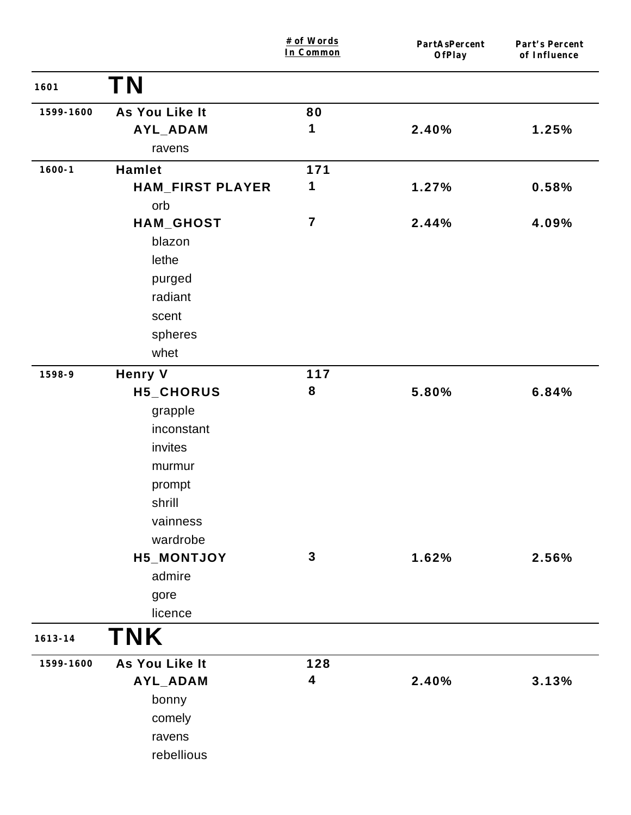|             |                         | # of Words<br>In Common | PartAsPercent<br>OfPlay | Part's Percent<br>of Influence |
|-------------|-------------------------|-------------------------|-------------------------|--------------------------------|
| 1601        | <b>TN</b>               |                         |                         |                                |
| 1599-1600   | As You Like It          | 80                      |                         |                                |
|             | AYL_ADAM                | 1                       | 2.40%                   | 1.25%                          |
|             | ravens                  |                         |                         |                                |
| $1600 - 1$  | Hamlet                  | 171                     |                         |                                |
|             | <b>HAM_FIRST PLAYER</b> | 1                       | 1.27%                   | 0.58%                          |
|             | orb                     |                         |                         |                                |
|             | HAM_GHOST               | $\overline{7}$          | 2.44%                   | 4.09%                          |
|             | blazon                  |                         |                         |                                |
|             | lethe                   |                         |                         |                                |
|             | purged                  |                         |                         |                                |
|             | radiant                 |                         |                         |                                |
|             | scent                   |                         |                         |                                |
|             | spheres                 |                         |                         |                                |
|             | whet                    |                         |                         |                                |
| 1598-9      | <b>Henry V</b>          | 117                     |                         |                                |
|             | H5_CHORUS               | 8                       | 5.80%                   | 6.84%                          |
|             | grapple                 |                         |                         |                                |
|             | inconstant              |                         |                         |                                |
|             | invites                 |                         |                         |                                |
|             | murmur                  |                         |                         |                                |
|             | prompt                  |                         |                         |                                |
|             | shrill                  |                         |                         |                                |
|             | vainness                |                         |                         |                                |
|             | wardrobe                |                         |                         |                                |
|             | H5_MONTJOY              | $\mathbf{3}$            | 1.62%                   | 2.56%                          |
|             | admire                  |                         |                         |                                |
|             | gore                    |                         |                         |                                |
|             | licence                 |                         |                         |                                |
| $1613 - 14$ | <b>TNK</b>              |                         |                         |                                |
| 1599-1600   | As You Like It          | 128                     |                         |                                |
|             | AYL_ADAM                | $\overline{\mathbf{4}}$ | 2.40%                   | 3.13%                          |
|             | bonny                   |                         |                         |                                |
|             | comely                  |                         |                         |                                |
|             | ravens                  |                         |                         |                                |
|             | rebellious              |                         |                         |                                |
|             |                         |                         |                         |                                |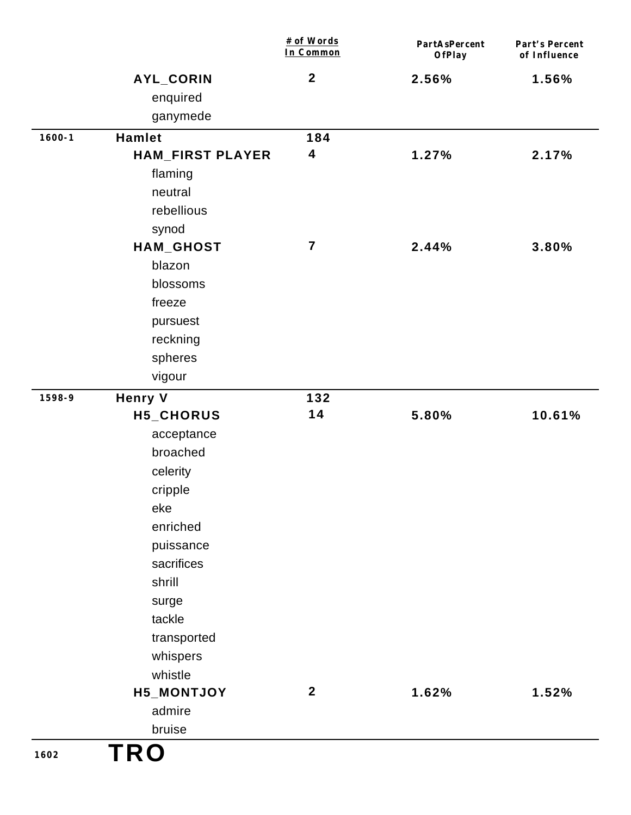|            |                         | # of Words<br>In Common | PartAsPercent<br><b>OfPlay</b> | Part's Percent<br>of Influence |
|------------|-------------------------|-------------------------|--------------------------------|--------------------------------|
|            | AYL_CORIN               | $\boldsymbol{2}$        | 2.56%                          | 1.56%                          |
|            | enquired                |                         |                                |                                |
|            | ganymede                |                         |                                |                                |
| $1600 - 1$ | <b>Hamlet</b>           | 184                     |                                |                                |
|            | <b>HAM_FIRST PLAYER</b> | $\overline{\mathbf{4}}$ | 1.27%                          | 2.17%                          |
|            | flaming                 |                         |                                |                                |
|            | neutral                 |                         |                                |                                |
|            | rebellious              |                         |                                |                                |
|            | synod                   |                         |                                |                                |
|            | HAM_GHOST               | $\overline{7}$          | 2.44%                          | 3.80%                          |
|            | blazon                  |                         |                                |                                |
|            | blossoms                |                         |                                |                                |
|            | freeze                  |                         |                                |                                |
|            | pursuest                |                         |                                |                                |
|            | reckning                |                         |                                |                                |
|            | spheres                 |                         |                                |                                |
|            | vigour                  |                         |                                |                                |
| 1598-9     | <b>Henry V</b>          | 132                     |                                |                                |
|            | H5_CHORUS               | 14                      | 5.80%                          | 10.61%                         |
|            | acceptance              |                         |                                |                                |
|            | broached                |                         |                                |                                |
|            | celerity                |                         |                                |                                |
|            | cripple                 |                         |                                |                                |
|            | eke                     |                         |                                |                                |
|            | enriched                |                         |                                |                                |
|            | puissance               |                         |                                |                                |
|            | sacrifices              |                         |                                |                                |
|            | shrill                  |                         |                                |                                |
|            | surge                   |                         |                                |                                |
|            | tackle                  |                         |                                |                                |
|            | transported             |                         |                                |                                |
|            | whispers                |                         |                                |                                |
|            | whistle                 |                         |                                |                                |
|            | H5_MONTJOY              | $\mathbf{2}$            | 1.62%                          | 1.52%                          |
|            | admire                  |                         |                                |                                |
|            | bruise                  |                         |                                |                                |
| 1602       | <b>TRO</b>              |                         |                                |                                |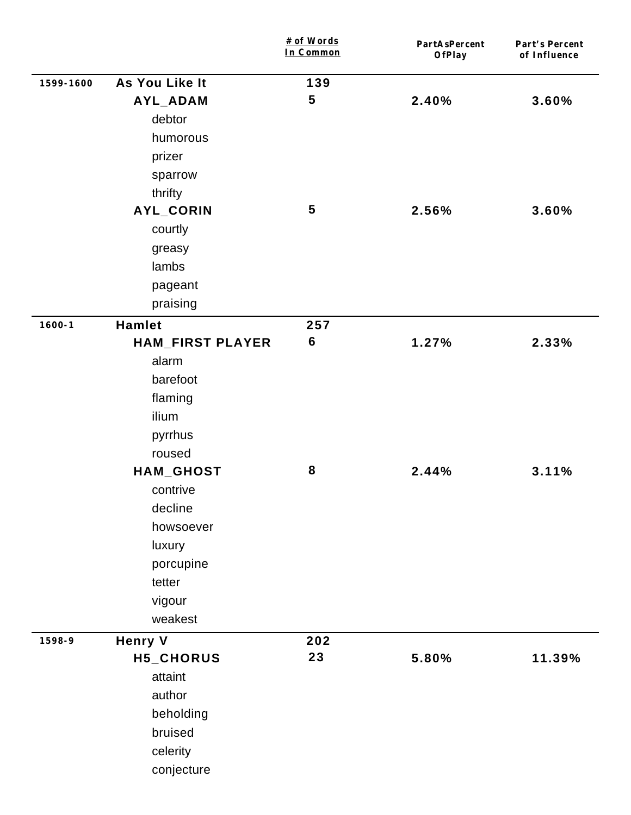|            |                         | # of Words<br>In Common | PartAsPercent<br>OfPlay | Part's Percent<br>of Influence |
|------------|-------------------------|-------------------------|-------------------------|--------------------------------|
| 1599-1600  | As You Like It          | 139                     |                         |                                |
|            | AYL_ADAM                | 5                       | 2.40%                   | 3.60%                          |
|            | debtor                  |                         |                         |                                |
|            | humorous                |                         |                         |                                |
|            | prizer                  |                         |                         |                                |
|            | sparrow                 |                         |                         |                                |
|            | thrifty                 |                         |                         |                                |
|            | AYL_CORIN               | $\overline{\mathbf{5}}$ | 2.56%                   | 3.60%                          |
|            | courtly                 |                         |                         |                                |
|            | greasy                  |                         |                         |                                |
|            | lambs                   |                         |                         |                                |
|            | pageant                 |                         |                         |                                |
|            | praising                |                         |                         |                                |
| $1600 - 1$ | <b>Hamlet</b>           | 257                     |                         |                                |
|            | <b>HAM_FIRST PLAYER</b> | $\bf 6$                 | 1.27%                   | 2.33%                          |
|            | alarm                   |                         |                         |                                |
|            | barefoot                |                         |                         |                                |
|            | flaming                 |                         |                         |                                |
|            | ilium                   |                         |                         |                                |
|            | pyrrhus                 |                         |                         |                                |
|            | roused                  |                         |                         |                                |
|            | HAM_GHOST               | ${\bf 8}$               | 2.44%                   | 3.11%                          |
|            | contrive                |                         |                         |                                |
|            | decline                 |                         |                         |                                |
|            | howsoever               |                         |                         |                                |
|            | luxury                  |                         |                         |                                |
|            | porcupine               |                         |                         |                                |
|            | tetter                  |                         |                         |                                |
|            | vigour                  |                         |                         |                                |
|            | weakest                 |                         |                         |                                |
| 1598-9     | <b>Henry V</b>          | 202                     |                         |                                |
|            | H5_CHORUS               | 23                      | 5.80%                   | 11.39%                         |
|            | attaint                 |                         |                         |                                |
|            | author                  |                         |                         |                                |
|            | beholding               |                         |                         |                                |
|            | bruised                 |                         |                         |                                |
|            | celerity                |                         |                         |                                |
|            | conjecture              |                         |                         |                                |